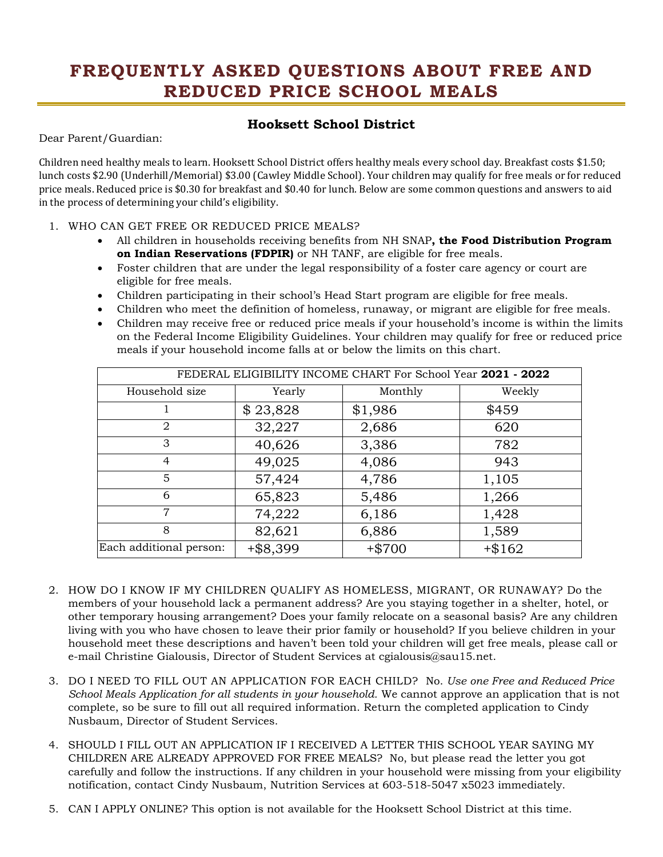## **FREQUENTLY ASKED QUESTIONS ABOUT FREE AND REDUCED PRICE SCHOOL MEALS**

## **Hooksett School District**

Dear Parent/Guardian:

 Children need healthy meals to learn. Hooksett School District offers healthy meals every school day. Breakfast costs \$1.50; lunch costs \$2.90 (Underhill/Memorial) \$3.00 (Cawley Middle School). Your children may qualify for free meals or for reduced price meals. Reduced price is \$0.30 for breakfast and \$0.40 for lunch. Below are some common questions and answers to aid in the process of determining your child's eligibility.

## 1. WHO CAN GET FREE OR REDUCED PRICE MEALS?

- All children in households receiving benefits from NH SNAP**, the Food Distribution Program on Indian Reservations (FDPIR)** or NH TANF, are eligible for free meals.
- • Foster children that are under the legal responsibility of a foster care agency or court are eligible for free meals.
- Children participating in their school's Head Start program are eligible for free meals.
- Children who meet the definition of homeless, runaway, or migrant are eligible for free meals.
- • Children may receive free or reduced price meals if your household's income is within the limits on the Federal Income Eligibility Guidelines. Your children may qualify for free or reduced price meals if your household income falls at or below the limits on this chart.

| FEDERAL ELIGIBILITY INCOME CHART For School Year 2021 - 2022 |          |           |        |
|--------------------------------------------------------------|----------|-----------|--------|
| Household size                                               | Yearly   | Monthly   | Weekly |
|                                                              | \$23,828 | \$1,986   | \$459  |
| 2                                                            | 32,227   | 2,686     | 620    |
| 3                                                            | 40,626   | 3,386     | 782    |
| $\overline{4}$                                               | 49,025   | 4,086     | 943    |
| 5                                                            | 57,424   | 4,786     | 1,105  |
| 6                                                            | 65,823   | 5,486     | 1,266  |
| $\overline{7}$                                               | 74,222   | 6,186     | 1,428  |
| 8                                                            | 82,621   | 6,886     | 1,589  |
| Each additional person:                                      | +\$8,399 | $+$ \$700 | +\$162 |

- 2. HOW DO I KNOW IF MY CHILDREN QUALIFY AS HOMELESS, MIGRANT, OR RUNAWAY? Do the members of your household lack a permanent address? Are you staying together in a shelter, hotel, or other temporary housing arrangement? Does your family relocate on a seasonal basis? Are any children living with you who have chosen to leave their prior family or household? If you believe children in your household meet these descriptions and haven't been told your children will get free meals, please call or e-mail Christine Gialousis, Director of Student Services at cgialousis@sau15.net.
- 3. DO I NEED TO FILL OUT AN APPLICATION FOR EACH CHILD? No. *Use one Free and Reduced Price School Meals Application for all students in your household.* We cannot approve an application that is not complete, so be sure to fill out all required information. Return the completed application to Cindy Nusbaum, Director of Student Services.
- 4. SHOULD I FILL OUT AN APPLICATION IF I RECEIVED A LETTER THIS SCHOOL YEAR SAYING MY CHILDREN ARE ALREADY APPROVED FOR FREE MEALS? No, but please read the letter you got carefully and follow the instructions. If any children in your household were missing from your eligibility notification, contact Cindy Nusbaum, Nutrition Services at 603-518-5047 x5023 immediately.
- 5. CAN I APPLY ONLINE? This option is not available for the Hooksett School District at this time.